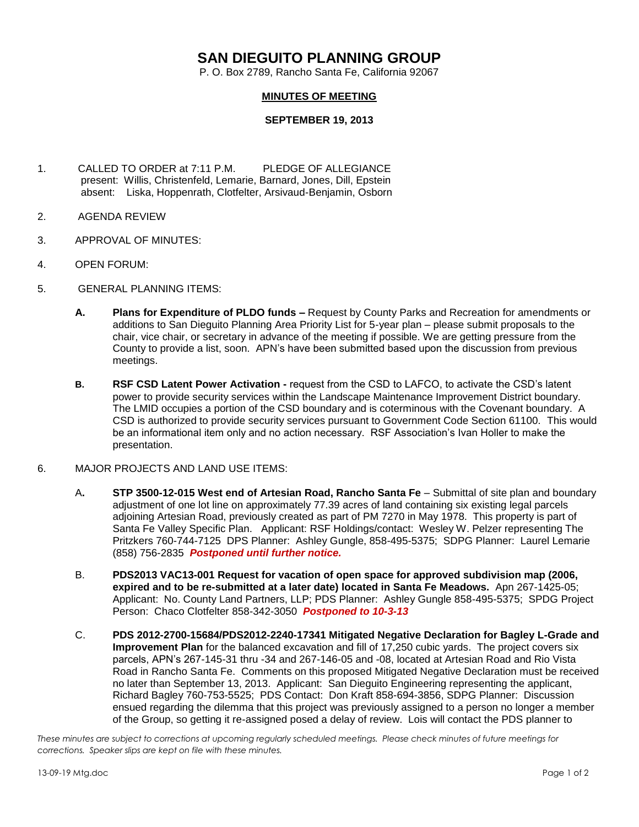## **SAN DIEGUITO PLANNING GROUP**

P. O. Box 2789, Rancho Santa Fe, California 92067

## **MINUTES OF MEETING**

## **SEPTEMBER 19, 2013**

- 1. CALLED TO ORDER at 7:11 P.M. PLEDGE OF ALLEGIANCE present: Willis, Christenfeld, Lemarie, Barnard, Jones, Dill, Epstein absent: Liska, Hoppenrath, Clotfelter, Arsivaud-Benjamin, Osborn
- 2. AGENDA REVIEW
- 3. APPROVAL OF MINUTES:
- 4. OPEN FORUM:
- 5. GENERAL PLANNING ITEMS:
	- **A. Plans for Expenditure of PLDO funds –** Request by County Parks and Recreation for amendments or additions to San Dieguito Planning Area Priority List for 5-year plan – please submit proposals to the chair, vice chair, or secretary in advance of the meeting if possible. We are getting pressure from the County to provide a list, soon.APN's have been submitted based upon the discussion from previous meetings.
	- **B. RSF CSD Latent Power Activation -** request from the CSD to LAFCO, to activate the CSD's latent power to provide security services within the Landscape Maintenance Improvement District boundary. The LMID occupies a portion of the CSD boundary and is coterminous with the Covenant boundary. A CSD is authorized to provide security services pursuant to Government Code Section 61100. This would be an informational item only and no action necessary. RSF Association's Ivan Holler to make the presentation.

## 6. MAJOR PROJECTS AND LAND USE ITEMS:

- A**. STP 3500-12-015 West end of Artesian Road, Rancho Santa Fe** Submittal of site plan and boundary adjustment of one lot line on approximately 77.39 acres of land containing six existing legal parcels adjoining Artesian Road, previously created as part of PM 7270 in May 1978. This property is part of Santa Fe Valley Specific Plan.Applicant: RSF Holdings/contact: Wesley W. Pelzer representing The Pritzkers 760-744-7125 DPS Planner: Ashley Gungle, 858-495-5375; SDPG Planner: Laurel Lemarie (858) 756-2835 *Postponed until further notice.*
- B. **PDS2013 VAC13-001 Request for vacation of open space for approved subdivision map (2006, expired and to be re-submitted at a later date) located in Santa Fe Meadows.** Apn 267-1425-05; Applicant: No. County Land Partners, LLP; PDS Planner: Ashley Gungle 858-495-5375; SPDG Project Person: Chaco Clotfelter 858-342-3050 *Postponed to 10-3-13*
- C. **PDS 2012-2700-15684/PDS2012-2240-17341 Mitigated Negative Declaration for Bagley L-Grade and Improvement Plan** for the balanced excavation and fill of 17,250 cubic yards. The project covers six parcels, APN's 267-145-31 thru -34 and 267-146-05 and -08, located at Artesian Road and Rio Vista Road in Rancho Santa Fe. Comments on this proposed Mitigated Negative Declaration must be received no later than September 13, 2013. Applicant: San Dieguito Engineering representing the applicant, Richard Bagley 760-753-5525; PDS Contact: Don Kraft 858-694-3856, SDPG Planner: Discussion ensued regarding the dilemma that this project was previously assigned to a person no longer a member of the Group, so getting it re-assigned posed a delay of review. Lois will contact the PDS planner to

*These minutes are subject to corrections at upcoming regularly scheduled meetings. Please check minutes of future meetings for corrections. Speaker slips are kept on file with these minutes.*